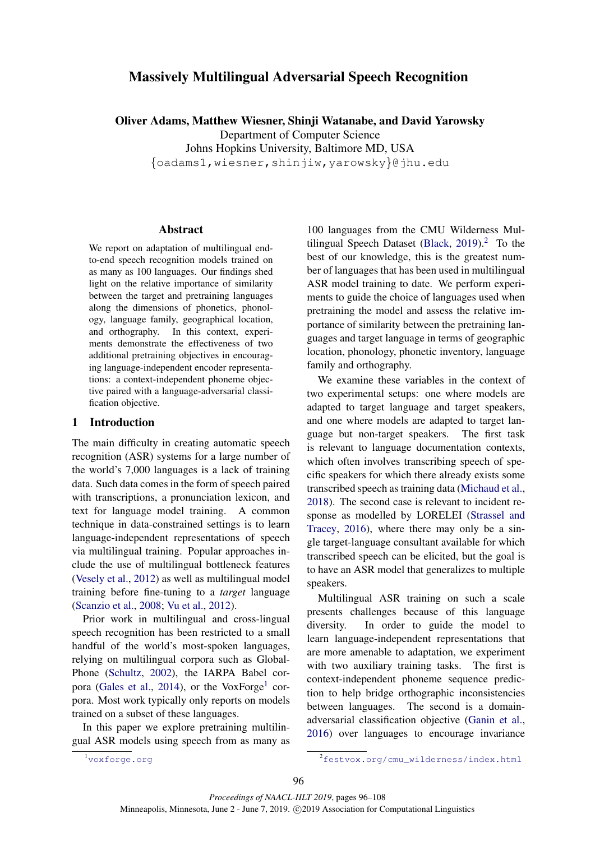# Massively Multilingual Adversarial Speech Recognition

Oliver Adams, Matthew Wiesner, Shinji Watanabe, and David Yarowsky

Department of Computer Science

Johns Hopkins University, Baltimore MD, USA {oadams1,wiesner,shinjiw,yarowsky}@jhu.edu

Abstract

We report on adaptation of multilingual endto-end speech recognition models trained on as many as 100 languages. Our findings shed light on the relative importance of similarity between the target and pretraining languages along the dimensions of phonetics, phonology, language family, geographical location, and orthography. In this context, experiments demonstrate the effectiveness of two additional pretraining objectives in encouraging language-independent encoder representations: a context-independent phoneme objective paired with a language-adversarial classification objective.

#### 1 Introduction

The main difficulty in creating automatic speech recognition (ASR) systems for a large number of the world's 7,000 languages is a lack of training data. Such data comes in the form of speech paired with transcriptions, a pronunciation lexicon, and text for language model training. A common technique in data-constrained settings is to learn language-independent representations of speech via multilingual training. Popular approaches include the use of multilingual bottleneck features [\(Vesely et al.,](#page-10-0) [2012\)](#page-10-0) as well as multilingual model training before fine-tuning to a *target* language [\(Scanzio et al.,](#page-10-1) [2008;](#page-10-1) [Vu et al.,](#page-10-2) [2012\)](#page-10-2).

Prior work in multilingual and cross-lingual speech recognition has been restricted to a small handful of the world's most-spoken languages, relying on multilingual corpora such as Global-Phone [\(Schultz,](#page-10-3) [2002\)](#page-10-3), the IARPA Babel cor-pora [\(Gales et al.,](#page-9-0) [2014\)](#page-9-0), or the VoxForge<sup>[1](#page-0-0)</sup> corpora. Most work typically only reports on models trained on a subset of these languages.

In this paper we explore pretraining multilingual ASR models using speech from as many as

100 languages from the CMU Wilderness Mul-tilingual Speech Dataset [\(Black,](#page-9-1)  $2019$  $2019$ ).<sup>2</sup> To the best of our knowledge, this is the greatest number of languages that has been used in multilingual ASR model training to date. We perform experiments to guide the choice of languages used when pretraining the model and assess the relative importance of similarity between the pretraining languages and target language in terms of geographic location, phonology, phonetic inventory, language family and orthography.

We examine these variables in the context of two experimental setups: one where models are adapted to target language and target speakers, and one where models are adapted to target language but non-target speakers. The first task is relevant to language documentation contexts, which often involves transcribing speech of specific speakers for which there already exists some transcribed speech as training data [\(Michaud et al.,](#page-9-2) [2018\)](#page-9-2). The second case is relevant to incident response as modelled by LORELEI [\(Strassel and](#page-10-4) [Tracey,](#page-10-4) [2016\)](#page-10-4), where there may only be a single target-language consultant available for which transcribed speech can be elicited, but the goal is to have an ASR model that generalizes to multiple speakers.

Multilingual ASR training on such a scale presents challenges because of this language diversity. In order to guide the model to learn language-independent representations that are more amenable to adaptation, we experiment with two auxiliary training tasks. The first is context-independent phoneme sequence prediction to help bridge orthographic inconsistencies between languages. The second is a domainadversarial classification objective [\(Ganin et al.,](#page-9-3) [2016\)](#page-9-3) over languages to encourage invariance

<span id="page-0-0"></span><sup>1</sup><voxforge.org>

<span id="page-0-1"></span><sup>2</sup>[festvox.org/cmu\\_wilderness/index.html](festvox.org/cmu_wilderness/index.html)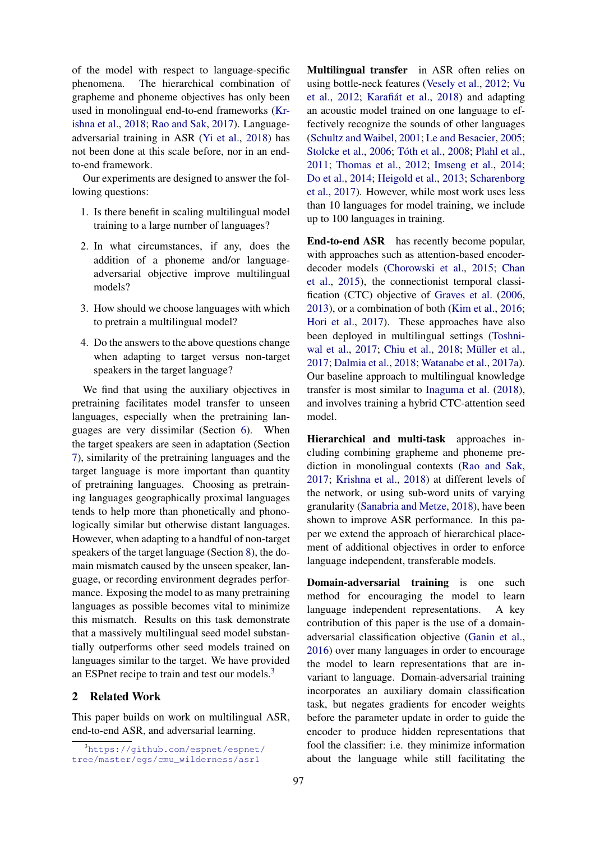of the model with respect to language-specific phenomena. The hierarchical combination of grapheme and phoneme objectives has only been used in monolingual end-to-end frameworks [\(Kr](#page-9-4)[ishna et al.,](#page-9-4) [2018;](#page-9-4) [Rao and Sak,](#page-10-5) [2017\)](#page-10-5). Languageadversarial training in ASR [\(Yi et al.,](#page-10-6) [2018\)](#page-10-6) has not been done at this scale before, nor in an endto-end framework.

Our experiments are designed to answer the following questions:

- 1. Is there benefit in scaling multilingual model training to a large number of languages?
- 2. In what circumstances, if any, does the addition of a phoneme and/or languageadversarial objective improve multilingual models?
- 3. How should we choose languages with which to pretrain a multilingual model?
- 4. Do the answers to the above questions change when adapting to target versus non-target speakers in the target language?

We find that using the auxiliary objectives in pretraining facilitates model transfer to unseen languages, especially when the pretraining languages are very dissimilar (Section [6\)](#page-4-0). When the target speakers are seen in adaptation (Section [7\)](#page-5-0), similarity of the pretraining languages and the target language is more important than quantity of pretraining languages. Choosing as pretraining languages geographically proximal languages tends to help more than phonetically and phonologically similar but otherwise distant languages. However, when adapting to a handful of non-target speakers of the target language (Section [8\)](#page-8-0), the domain mismatch caused by the unseen speaker, language, or recording environment degrades performance. Exposing the model to as many pretraining languages as possible becomes vital to minimize this mismatch. Results on this task demonstrate that a massively multilingual seed model substantially outperforms other seed models trained on languages similar to the target. We have provided an ESPnet recipe to train and test our models.[3](#page-1-0)

## 2 Related Work

This paper builds on work on multilingual ASR, end-to-end ASR, and adversarial learning.

Multilingual transfer in ASR often relies on using bottle-neck features [\(Vesely et al.,](#page-10-0) [2012;](#page-10-0) [Vu](#page-10-2) [et al.,](#page-10-2) [2012;](#page-10-2) Karafiát et al., [2018\)](#page-9-5) and adapting an acoustic model trained on one language to effectively recognize the sounds of other languages [\(Schultz and Waibel,](#page-10-7) [2001;](#page-10-7) [Le and Besacier,](#page-9-6) [2005;](#page-9-6) [Stolcke et al.,](#page-10-8) [2006;](#page-10-8) Tóth et al., [2008;](#page-10-9) [Plahl et al.,](#page-9-7) [2011;](#page-9-7) [Thomas et al.,](#page-10-10) [2012;](#page-10-10) [Imseng et al.,](#page-9-8) [2014;](#page-9-8) [Do et al.,](#page-9-9) [2014;](#page-9-9) [Heigold et al.,](#page-9-10) [2013;](#page-9-10) [Scharenborg](#page-10-11) [et al.,](#page-10-11) [2017\)](#page-10-11). However, while most work uses less than 10 languages for model training, we include up to 100 languages in training.

End-to-end ASR has recently become popular, with approaches such as attention-based encoderdecoder models [\(Chorowski et al.,](#page-9-11) [2015;](#page-9-11) [Chan](#page-9-12) [et al.,](#page-9-12) [2015\)](#page-9-12), the connectionist temporal classification (CTC) objective of [Graves et al.](#page-9-13) [\(2006,](#page-9-13) [2013\)](#page-9-14), or a combination of both [\(Kim et al.,](#page-9-15) [2016;](#page-9-15) [Hori et al.,](#page-9-16) [2017\)](#page-9-16). These approaches have also been deployed in multilingual settings [\(Toshni](#page-10-12)[wal et al.,](#page-10-12) [2017;](#page-10-12) [Chiu et al.,](#page-9-17) [2018;](#page-9-17) Müller et al., [2017;](#page-9-18) [Dalmia et al.,](#page-9-19) [2018;](#page-9-19) [Watanabe et al.,](#page-10-13) [2017a\)](#page-10-13). Our baseline approach to multilingual knowledge transfer is most similar to [Inaguma et al.](#page-9-20) [\(2018\)](#page-9-20), and involves training a hybrid CTC-attention seed model.

Hierarchical and multi-task approaches including combining grapheme and phoneme prediction in monolingual contexts [\(Rao and Sak,](#page-10-5) [2017;](#page-10-5) [Krishna et al.,](#page-9-4) [2018\)](#page-9-4) at different levels of the network, or using sub-word units of varying granularity [\(Sanabria and Metze,](#page-10-14) [2018\)](#page-10-14), have been shown to improve ASR performance. In this paper we extend the approach of hierarchical placement of additional objectives in order to enforce language independent, transferable models.

Domain-adversarial training is one such method for encouraging the model to learn language independent representations. A key contribution of this paper is the use of a domainadversarial classification objective [\(Ganin et al.,](#page-9-3) [2016\)](#page-9-3) over many languages in order to encourage the model to learn representations that are invariant to language. Domain-adversarial training incorporates an auxiliary domain classification task, but negates gradients for encoder weights before the parameter update in order to guide the encoder to produce hidden representations that fool the classifier: i.e. they minimize information about the language while still facilitating the

<span id="page-1-0"></span><sup>3</sup>[https://github.com/espnet/espnet/](https://github.com/espnet/espnet/tree/master/egs/cmu_wilderness/asr1) [tree/master/egs/cmu\\_wilderness/asr1](https://github.com/espnet/espnet/tree/master/egs/cmu_wilderness/asr1)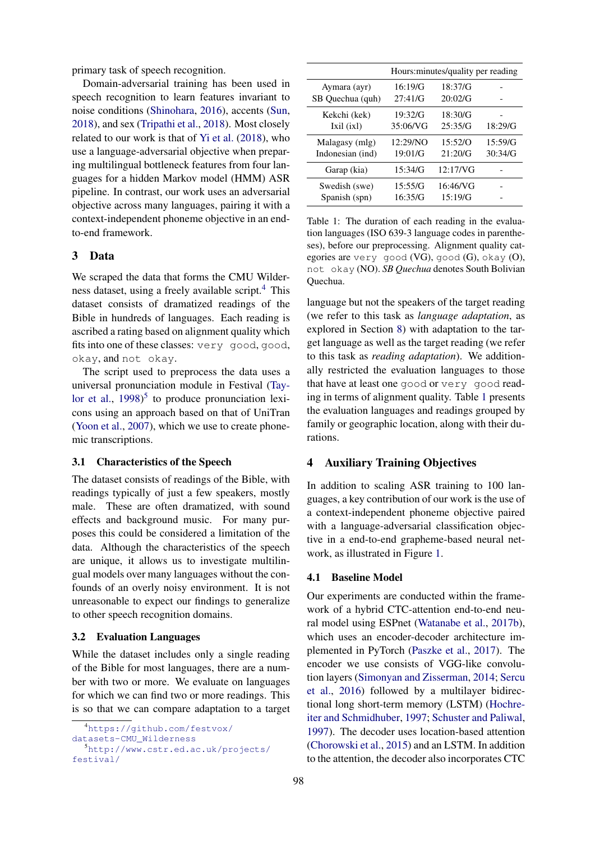primary task of speech recognition.

Domain-adversarial training has been used in speech recognition to learn features invariant to noise conditions [\(Shinohara,](#page-10-15) [2016\)](#page-10-15), accents [\(Sun,](#page-10-16) [2018\)](#page-10-16), and sex [\(Tripathi et al.,](#page-10-17) [2018\)](#page-10-17). Most closely related to our work is that of [Yi et al.](#page-10-6) [\(2018\)](#page-10-6), who use a language-adversarial objective when preparing multilingual bottleneck features from four languages for a hidden Markov model (HMM) ASR pipeline. In contrast, our work uses an adversarial objective across many languages, pairing it with a context-independent phoneme objective in an endto-end framework.

## 3 Data

We scraped the data that forms the CMU Wilderness dataset, using a freely available script. $4$  This dataset consists of dramatized readings of the Bible in hundreds of languages. Each reading is ascribed a rating based on alignment quality which fits into one of these classes: very good, good, okay, and not okay.

The script used to preprocess the data uses a universal pronunciation module in Festival [\(Tay](#page-10-18)[lor et al.,](#page-10-18)  $1998$ <sup>[5](#page-2-1)</sup> to produce pronunciation lexicons using an approach based on that of UniTran [\(Yoon et al.,](#page-10-19) [2007\)](#page-10-19), which we use to create phonemic transcriptions.

#### 3.1 Characteristics of the Speech

The dataset consists of readings of the Bible, with readings typically of just a few speakers, mostly male. These are often dramatized, with sound effects and background music. For many purposes this could be considered a limitation of the data. Although the characteristics of the speech are unique, it allows us to investigate multilingual models over many languages without the confounds of an overly noisy environment. It is not unreasonable to expect our findings to generalize to other speech recognition domains.

#### 3.2 Evaluation Languages

While the dataset includes only a single reading of the Bible for most languages, there are a number with two or more. We evaluate on languages for which we can find two or more readings. This is so that we can compare adaptation to a target

<span id="page-2-2"></span>

|                  | Hours: minutes/quality per reading |          |         |  |
|------------------|------------------------------------|----------|---------|--|
| Aymara (ayr)     | 16:19/G                            | 18:37/G  |         |  |
| SB Quechua (quh) | 27:41/G                            | 20:02/G  |         |  |
| Kekchi (kek)     | 19:32/G                            | 18:30/G  |         |  |
| Ixil (ixl)       | 35:06/VG                           | 25:35/G  | 18:29/G |  |
| Malagasy (mlg)   | 12:29/NO                           | 15:52/O  | 15:59/G |  |
| Indonesian (ind) | 19:01/G                            | 21:20/G  | 30:34/G |  |
| Garap (kia)      | 15:34/G                            | 12:17/NG |         |  |
| Swedish (swe)    | 15:55/G                            | 16:46/VG |         |  |
| Spanish (spn)    | 16:35/G                            | 15:19/G  |         |  |

Table 1: The duration of each reading in the evaluation languages (ISO 639-3 language codes in parentheses), before our preprocessing. Alignment quality categories are very good (VG), good (G), okay (O), not okay (NO). *SB Quechua* denotes South Bolivian Quechua.

language but not the speakers of the target reading (we refer to this task as *language adaptation*, as explored in Section [8\)](#page-8-0) with adaptation to the target language as well as the target reading (we refer to this task as *reading adaptation*). We additionally restricted the evaluation languages to those that have at least one good or very good reading in terms of alignment quality. Table [1](#page-2-2) presents the evaluation languages and readings grouped by family or geographic location, along with their durations.

#### <span id="page-2-3"></span>4 Auxiliary Training Objectives

In addition to scaling ASR training to 100 languages, a key contribution of our work is the use of a context-independent phoneme objective paired with a language-adversarial classification objective in a end-to-end grapheme-based neural network, as illustrated in Figure [1.](#page-3-0)

#### 4.1 Baseline Model

Our experiments are conducted within the framework of a hybrid CTC-attention end-to-end neural model using ESPnet [\(Watanabe et al.,](#page-10-20) [2017b\)](#page-10-20), which uses an encoder-decoder architecture implemented in PyTorch [\(Paszke et al.,](#page-9-21) [2017\)](#page-9-21). The encoder we use consists of VGG-like convolution layers [\(Simonyan and Zisserman,](#page-10-21) [2014;](#page-10-21) [Sercu](#page-10-22) [et al.,](#page-10-22) [2016\)](#page-10-22) followed by a multilayer bidirectional long short-term memory (LSTM) [\(Hochre](#page-9-22)[iter and Schmidhuber,](#page-9-22) [1997;](#page-9-22) [Schuster and Paliwal,](#page-10-23) [1997\)](#page-10-23). The decoder uses location-based attention [\(Chorowski et al.,](#page-9-11) [2015\)](#page-9-11) and an LSTM. In addition to the attention, the decoder also incorporates CTC

<span id="page-2-0"></span><sup>4</sup>[https://github.com/festvox/](https://github.com/festvox/datasets-CMU_Wilderness)

[datasets-CMU\\_Wilderness](https://github.com/festvox/datasets-CMU_Wilderness)

<span id="page-2-1"></span><sup>5</sup>[http://www.cstr.ed.ac.uk/projects/](http://www.cstr.ed.ac.uk/projects/festival/) [festival/](http://www.cstr.ed.ac.uk/projects/festival/)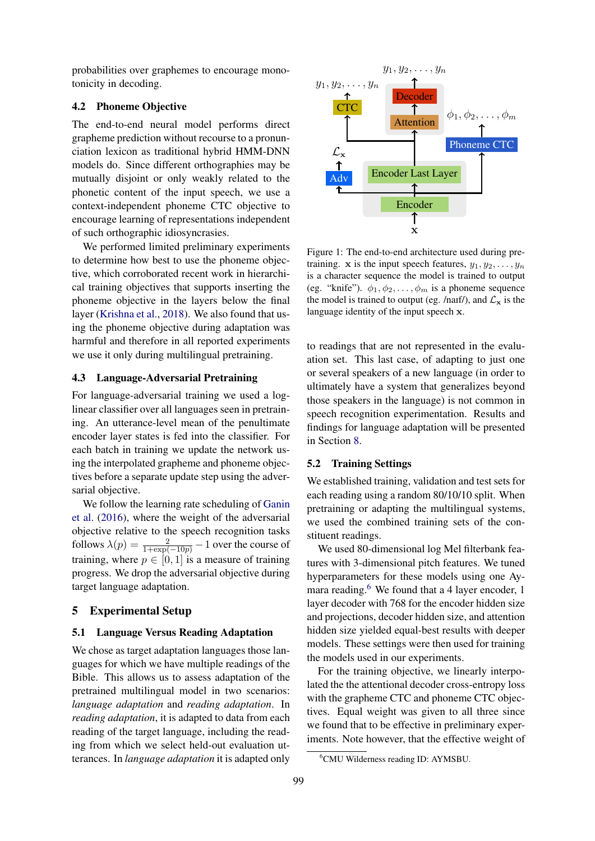probabilities over graphemes to encourage monotonicity in decoding.

#### 4.2 Phoneme Objective

The end-to-end neural model performs direct grapheme prediction without recourse to a pronunciation lexicon as traditional hybrid HMM-DNN models do. Since different orthographies may be mutually disjoint or only weakly related to the phonetic content of the input speech, we use a context-independent phoneme CTC objective to encourage learning of representations independent of such orthographic idiosyncrasies.

We performed limited preliminary experiments to determine how best to use the phoneme objective, which corroborated recent work in hierarchical training objectives that supports inserting the phoneme objective in the layers below the final layer [\(Krishna et al.,](#page-9-4) [2018\)](#page-9-4). We also found that using the phoneme objective during adaptation was harmful and therefore in all reported experiments we use it only during multilingual pretraining.

#### <span id="page-3-2"></span>4.3 Language-Adversarial Pretraining

For language-adversarial training we used a loglinear classifier over all languages seen in pretraining. An utterance-level mean of the penultimate encoder layer states is fed into the classifier. For each batch in training we update the network using the interpolated grapheme and phoneme objectives before a separate update step using the adversarial objective.

We follow the learning rate scheduling of [Ganin](#page-9-3) [et al.](#page-9-3) [\(2016\)](#page-9-3), where the weight of the adversarial objective relative to the speech recognition tasks follows  $\lambda(p) = \frac{2}{1 + \exp(-10p)} - 1$  over the course of training, where  $p \in [0, 1]$  is a measure of training progress. We drop the adversarial objective during target language adaptation.

#### 5 Experimental Setup

#### 5.1 Language Versus Reading Adaptation

We chose as target adaptation languages those languages for which we have multiple readings of the Bible. This allows us to assess adaptation of the pretrained multilingual model in two scenarios: *language adaptation* and *reading adaptation*. In *reading adaptation*, it is adapted to data from each reading of the target language, including the reading from which we select held-out evaluation utterances. In *language adaptation* it is adapted only

<span id="page-3-0"></span>

Figure 1: The end-to-end architecture used during pretraining. x is the input speech features,  $y_1, y_2, \ldots, y_n$ is a character sequence the model is trained to output (eg. "knife").  $\phi_1, \phi_2, \dots, \phi_m$  is a phoneme sequence the model is trained to output (eg. /naIf/), and  $\mathcal{L}_{\mathbf{x}}$  is the language identity of the input speech x.

to readings that are not represented in the evaluation set. This last case, of adapting to just one or several speakers of a new language (in order to ultimately have a system that generalizes beyond those speakers in the language) is not common in speech recognition experimentation. Results and findings for language adaptation will be presented in Section [8.](#page-8-0)

#### 5.2 Training Settings

We established training, validation and test sets for each reading using a random 80/10/10 split. When pretraining or adapting the multilingual systems, we used the combined training sets of the constituent readings.

We used 80-dimensional log Mel filterbank features with 3-dimensional pitch features. We tuned hyperparameters for these models using one Ay-mara reading.<sup>[6](#page-3-1)</sup> We found that a 4 layer encoder, 1 layer decoder with 768 for the encoder hidden size and projections, decoder hidden size, and attention hidden size yielded equal-best results with deeper models. These settings were then used for training the models used in our experiments.

For the training objective, we linearly interpolated the the attentional decoder cross-entropy loss with the grapheme CTC and phoneme CTC objectives. Equal weight was given to all three since we found that to be effective in preliminary experiments. Note however, that the effective weight of

<span id="page-3-1"></span><sup>6</sup>CMU Wilderness reading ID: AYMSBU.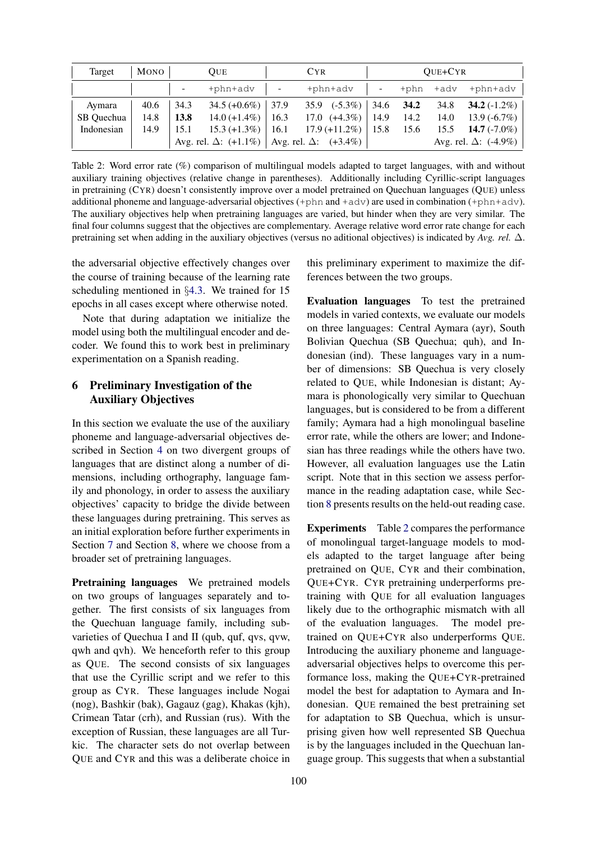<span id="page-4-1"></span>

| Target     | Mono |                          | <b>OUE</b>           |                          | <b>CYR</b>                                                  |              |      | QUE+CYR |                              |
|------------|------|--------------------------|----------------------|--------------------------|-------------------------------------------------------------|--------------|------|---------|------------------------------|
|            |      | $\overline{\phantom{a}}$ | +phn+adv             | $\overline{\phantom{a}}$ | +phn+adv                                                    |              | +phn | +adv    | +phn+adv                     |
| Aymara     | 40.6 | 34.3                     | $34.5 (+0.6\%)$ 37.9 |                          | $35.9$ $(-5.3\%)$                                           | $\vert$ 34.6 | 34.2 |         | 34.8 <b>34.2</b> $(-1.2\%)$  |
| SB Ouechua | 14.8 | 13.8                     | $14.0 (+1.4\%)$      | 16.3                     | $17.0$ $(+4.3\%)$                                           | 14.9         | 14.2 | 14.0    | $13.9(-6.7\%)$               |
| Indonesian | 14.9 | 15.1                     | $15.3 (+1.3\%)$      | 16.1                     | $17.9 (+11.2\%)$                                            | 15.8         | 15.6 |         | 15.5 <b>14.7</b> $(-7.0\%)$  |
|            |      |                          |                      |                          | Avg. rel. $\Delta$ : (+1.1%)   Avg. rel. $\Delta$ : (+3.4%) |              |      |         | Avg. rel. $\Delta$ : (-4.9%) |

Table 2: Word error rate (%) comparison of multilingual models adapted to target languages, with and without auxiliary training objectives (relative change in parentheses). Additionally including Cyrillic-script languages in pretraining (CYR) doesn't consistently improve over a model pretrained on Quechuan languages (QUE) unless additional phoneme and language-adversarial objectives (+phn and +adv) are used in combination (+phn+adv). The auxiliary objectives help when pretraining languages are varied, but hinder when they are very similar. The final four columns suggest that the objectives are complementary. Average relative word error rate change for each pretraining set when adding in the auxiliary objectives (versus no aditional objectives) is indicated by *Avg. rel.* ∆.

the adversarial objective effectively changes over the course of training because of the learning rate scheduling mentioned in §[4.3.](#page-3-2) We trained for 15 epochs in all cases except where otherwise noted.

Note that during adaptation we initialize the model using both the multilingual encoder and decoder. We found this to work best in preliminary experimentation on a Spanish reading.

## <span id="page-4-0"></span>6 Preliminary Investigation of the Auxiliary Objectives

In this section we evaluate the use of the auxiliary phoneme and language-adversarial objectives described in Section [4](#page-2-3) on two divergent groups of languages that are distinct along a number of dimensions, including orthography, language family and phonology, in order to assess the auxiliary objectives' capacity to bridge the divide between these languages during pretraining. This serves as an initial exploration before further experiments in Section [7](#page-5-0) and Section [8,](#page-8-0) where we choose from a broader set of pretraining languages.

Pretraining languages We pretrained models on two groups of languages separately and together. The first consists of six languages from the Quechuan language family, including subvarieties of Quechua I and II (qub, quf, qvs, qvw, qwh and qvh). We henceforth refer to this group as QUE. The second consists of six languages that use the Cyrillic script and we refer to this group as CYR. These languages include Nogai (nog), Bashkir (bak), Gagauz (gag), Khakas (kjh), Crimean Tatar (crh), and Russian (rus). With the exception of Russian, these languages are all Turkic. The character sets do not overlap between QUE and CYR and this was a deliberate choice in this preliminary experiment to maximize the differences between the two groups.

Evaluation languages To test the pretrained models in varied contexts, we evaluate our models on three languages: Central Aymara (ayr), South Bolivian Quechua (SB Quechua; quh), and Indonesian (ind). These languages vary in a number of dimensions: SB Quechua is very closely related to QUE, while Indonesian is distant; Aymara is phonologically very similar to Quechuan languages, but is considered to be from a different family; Aymara had a high monolingual baseline error rate, while the others are lower; and Indonesian has three readings while the others have two. However, all evaluation languages use the Latin script. Note that in this section we assess performance in the reading adaptation case, while Section [8](#page-8-0) presents results on the held-out reading case.

Experiments Table [2](#page-4-1) compares the performance of monolingual target-language models to models adapted to the target language after being pretrained on QUE, CYR and their combination, QUE+CYR. CYR pretraining underperforms pretraining with QUE for all evaluation languages likely due to the orthographic mismatch with all of the evaluation languages. The model pretrained on QUE+CYR also underperforms QUE. Introducing the auxiliary phoneme and languageadversarial objectives helps to overcome this performance loss, making the QUE+CYR-pretrained model the best for adaptation to Aymara and Indonesian. QUE remained the best pretraining set for adaptation to SB Quechua, which is unsurprising given how well represented SB Quechua is by the languages included in the Quechuan language group. This suggests that when a substantial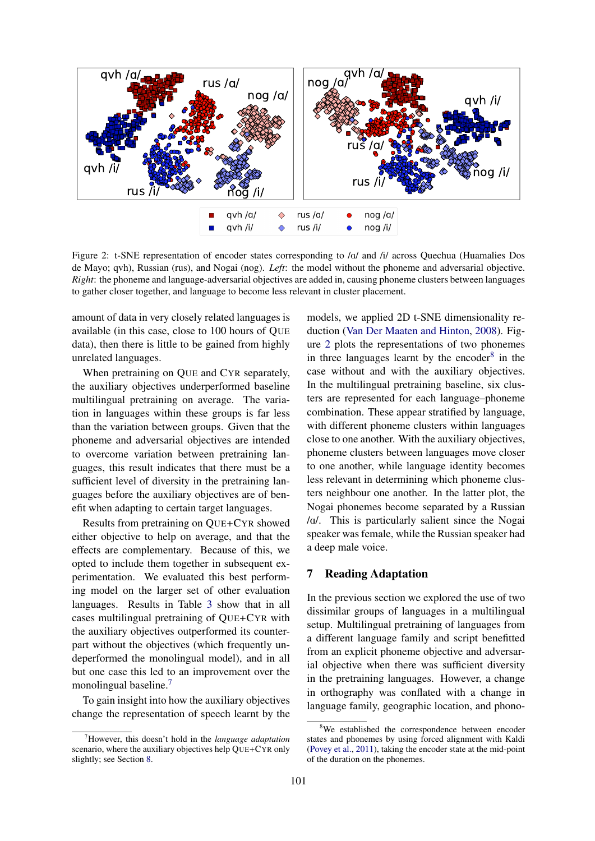<span id="page-5-2"></span>

Figure 2: t-SNE representation of encoder states corresponding to /a/ and /i/ across Quechua (Huamalies Dos de Mayo; qvh), Russian (rus), and Nogai (nog). *Left*: the model without the phoneme and adversarial objective. *Right*: the phoneme and language-adversarial objectives are added in, causing phoneme clusters between languages to gather closer together, and language to become less relevant in cluster placement.

amount of data in very closely related languages is available (in this case, close to 100 hours of QUE data), then there is little to be gained from highly unrelated languages.

When pretraining on QUE and CYR separately, the auxiliary objectives underperformed baseline multilingual pretraining on average. The variation in languages within these groups is far less than the variation between groups. Given that the phoneme and adversarial objectives are intended to overcome variation between pretraining languages, this result indicates that there must be a sufficient level of diversity in the pretraining languages before the auxiliary objectives are of benefit when adapting to certain target languages.

Results from pretraining on QUE+CYR showed either objective to help on average, and that the effects are complementary. Because of this, we opted to include them together in subsequent experimentation. We evaluated this best performing model on the larger set of other evaluation languages. Results in Table [3](#page-6-0) show that in all cases multilingual pretraining of QUE+CYR with the auxiliary objectives outperformed its counterpart without the objectives (which frequently undeperformed the monolingual model), and in all but one case this led to an improvement over the monolingual baseline.[7](#page-5-1)

To gain insight into how the auxiliary objectives change the representation of speech learnt by the models, we applied 2D t-SNE dimensionality reduction [\(Van Der Maaten and Hinton,](#page-10-24) [2008\)](#page-10-24). Figure [2](#page-5-2) plots the representations of two phonemes in three languages learnt by the encoder $8$  in the case without and with the auxiliary objectives. In the multilingual pretraining baseline, six clusters are represented for each language–phoneme combination. These appear stratified by language, with different phoneme clusters within languages close to one another. With the auxiliary objectives, phoneme clusters between languages move closer to one another, while language identity becomes less relevant in determining which phoneme clusters neighbour one another. In the latter plot, the Nogai phonemes become separated by a Russian /A/. This is particularly salient since the Nogai speaker was female, while the Russian speaker had a deep male voice.

## <span id="page-5-0"></span>7 Reading Adaptation

In the previous section we explored the use of two dissimilar groups of languages in a multilingual setup. Multilingual pretraining of languages from a different language family and script benefitted from an explicit phoneme objective and adversarial objective when there was sufficient diversity in the pretraining languages. However, a change in orthography was conflated with a change in language family, geographic location, and phono-

<span id="page-5-1"></span><sup>7</sup>However, this doesn't hold in the *language adaptation* scenario, where the auxiliary objectives help QUE+CYR only slightly; see Section [8.](#page-8-0)

<span id="page-5-3"></span><sup>&</sup>lt;sup>8</sup>We established the correspondence between encoder states and phonemes by using forced alignment with Kaldi [\(Povey et al.,](#page-9-23) [2011\)](#page-9-23), taking the encoder state at the mid-point of the duration on the phonemes.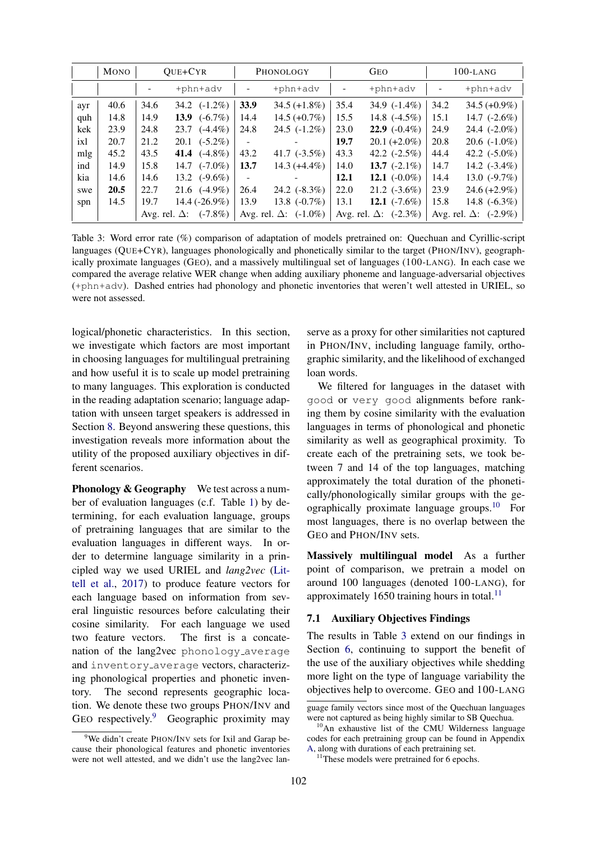<span id="page-6-0"></span>

|     | <b>MONO</b> | OUE+CYR                            | PHONOLOGY                          | <b>GEO</b>                         | $100$ -LANG                        |  |
|-----|-------------|------------------------------------|------------------------------------|------------------------------------|------------------------------------|--|
|     |             | +phn+adv                           | $+$ phn $+$ adv                    | +phn+adv                           | +phn+adv                           |  |
| ayr | 40.6        | $(-1.2\%)$<br>34.6<br>34.2         | 33.9<br>$34.5 (+1.8\%)$            | 35.4<br>34.9 $(-1.4\%)$            | 34.2<br>$34.5 (+0.9\%)$            |  |
| quh | 14.8        | $(-6.7\%)$<br>14.9<br>13.9         | $14.5 (+0.7%)$<br>14.4             | 15.5<br>14.8 $(-4.5\%)$            | 14.7 $(-2.6%)$<br>15.1             |  |
| kek | 23.9        | 24.8<br>$(-4.4\%)$<br>23.7         | 24.5 $(-1.2\%)$<br>24.8            | <b>22.9</b> $(-0.4\%)$<br>23.0     | 24.4 $(-2.0\%)$<br>24.9            |  |
| ixl | 20.7        | 21.2<br>$(-5.2\%)$<br>20.1         | -                                  | 19.7<br>$20.1 (+2.0\%)$            | 20.8<br>20.6 $(-1.0\%)$            |  |
| mlg | 45.2        | $(-4.8\%)$<br>43.5<br>41.4         | 41.7 $(-3.5\%)$<br>43.2            | 42.2 $(-2.5\%)$<br>43.3            | 42.2 $(-5.0\%)$<br>44.4            |  |
| ind | 14.9        | 15.8<br>$(-7.0\%)$<br>14.7         | 13.7<br>$14.3 (+4.4\%)$            | 13.7 $(-2.1\%)$<br>14.0            | 14.2 $(-3.4\%)$<br>14.7            |  |
| kia | 14.6        | $(-9.6\%)$<br>14.6<br>13.2         | -                                  | 12.1 $(-0.0\%)$<br>12.1            | 13.0 $(-9.7%)$<br>14.4             |  |
| swe | 20.5        | $(-4.9\%)$<br>22.7<br>21.6         | 24.2 $(-8.3\%)$<br>26.4            | 22.0<br>$21.2$ (-3.6%)             | 23.9<br>$24.6 (+2.9%)$             |  |
| spn | 14.5        | 14.4 (-26.9%)<br>19.7              | 13.8 $(-0.7\%)$<br>13.9            | 12.1 $(-7.6\%)$<br>13.1            | 15.8<br>14.8 $(-6.3\%)$            |  |
|     |             | $(-7.8\%)$<br>Avg. rel. $\Delta$ : | $(-1.0\%)$<br>Avg. rel. $\Delta$ : | $(-2.3\%)$<br>Avg. rel. $\Delta$ : | $(-2.9\%)$<br>Avg. rel. $\Delta$ : |  |

Table 3: Word error rate (%) comparison of adaptation of models pretrained on: Quechuan and Cyrillic-script languages (QUE+CYR), languages phonologically and phonetically similar to the target (PHON/INV), geographically proximate languages (GEO), and a massively multilingual set of languages (100-LANG). In each case we compared the average relative WER change when adding auxiliary phoneme and language-adversarial objectives (+phn+adv). Dashed entries had phonology and phonetic inventories that weren't well attested in URIEL, so were not assessed.

logical/phonetic characteristics. In this section, we investigate which factors are most important in choosing languages for multilingual pretraining and how useful it is to scale up model pretraining to many languages. This exploration is conducted in the reading adaptation scenario; language adaptation with unseen target speakers is addressed in Section [8.](#page-8-0) Beyond answering these questions, this investigation reveals more information about the utility of the proposed auxiliary objectives in different scenarios.

Phonology & Geography We test across a number of evaluation languages (c.f. Table [1\)](#page-2-2) by determining, for each evaluation language, groups of pretraining languages that are similar to the evaluation languages in different ways. In order to determine language similarity in a principled way we used URIEL and *lang2vec* [\(Lit](#page-9-24)[tell et al.,](#page-9-24) [2017\)](#page-9-24) to produce feature vectors for each language based on information from several linguistic resources before calculating their cosine similarity. For each language we used two feature vectors. The first is a concatenation of the lang2vec phonology\_average and inventory average vectors, characterizing phonological properties and phonetic inventory. The second represents geographic location. We denote these two groups PHON/INV and GEO respectively.<sup>[9](#page-6-1)</sup> Geographic proximity may serve as a proxy for other similarities not captured in PHON/INV, including language family, orthographic similarity, and the likelihood of exchanged loan words.

We filtered for languages in the dataset with good or very good alignments before ranking them by cosine similarity with the evaluation languages in terms of phonological and phonetic similarity as well as geographical proximity. To create each of the pretraining sets, we took between 7 and 14 of the top languages, matching approximately the total duration of the phonetically/phonologically similar groups with the ge-ographically proximate language groups.<sup>[10](#page-6-2)</sup> For most languages, there is no overlap between the GEO and PHON/INV sets.

Massively multilingual model As a further point of comparison, we pretrain a model on around 100 languages (denoted 100-LANG), for approximately 1650 training hours in total. $^{11}$  $^{11}$  $^{11}$ 

### 7.1 Auxiliary Objectives Findings

The results in Table [3](#page-6-0) extend on our findings in Section [6,](#page-4-0) continuing to support the benefit of the use of the auxiliary objectives while shedding more light on the type of language variability the objectives help to overcome. GEO and 100-LANG

<span id="page-6-1"></span><sup>&</sup>lt;sup>9</sup>We didn't create PHON/INV sets for Ixil and Garap because their phonological features and phonetic inventories were not well attested, and we didn't use the lang2vec lan-

guage family vectors since most of the Quechuan languages were not captured as being highly similar to SB Quechua.

<span id="page-6-2"></span><sup>&</sup>lt;sup>10</sup>An exhaustive list of the CMU Wilderness language codes for each pretraining group can be found in Appendix [A,](#page-10-25) along with durations of each pretraining set.

<span id="page-6-3"></span><sup>&</sup>lt;sup>11</sup>These models were pretrained for 6 epochs.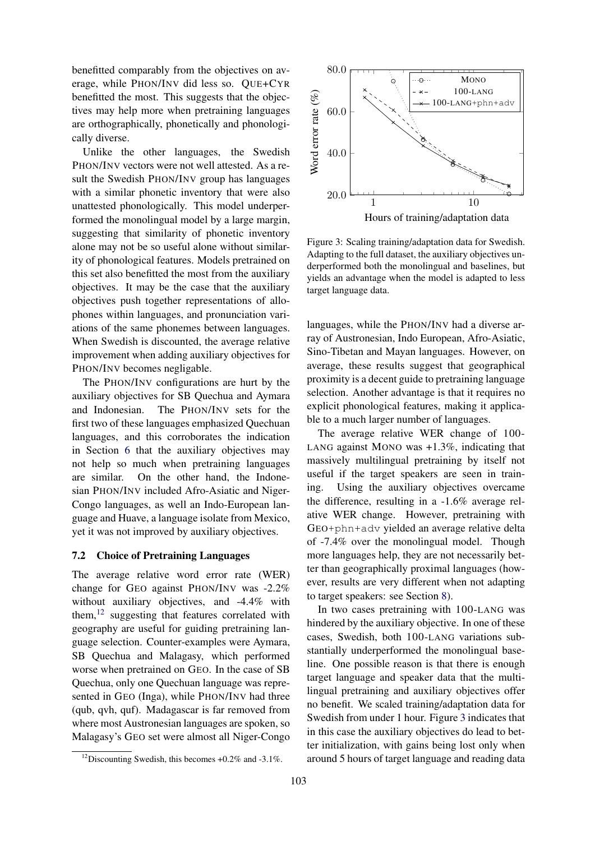benefitted comparably from the objectives on average, while PHON/INV did less so. QUE+CYR benefitted the most. This suggests that the objectives may help more when pretraining languages are orthographically, phonetically and phonologically diverse.

Unlike the other languages, the Swedish PHON/INV vectors were not well attested. As a result the Swedish PHON/INV group has languages with a similar phonetic inventory that were also unattested phonologically. This model underperformed the monolingual model by a large margin, suggesting that similarity of phonetic inventory alone may not be so useful alone without similarity of phonological features. Models pretrained on this set also benefitted the most from the auxiliary objectives. It may be the case that the auxiliary objectives push together representations of allophones within languages, and pronunciation variations of the same phonemes between languages. When Swedish is discounted, the average relative improvement when adding auxiliary objectives for PHON/INV becomes negligable.

The PHON/INV configurations are hurt by the auxiliary objectives for SB Quechua and Aymara and Indonesian. The PHON/INV sets for the first two of these languages emphasized Quechuan languages, and this corroborates the indication in Section [6](#page-4-0) that the auxiliary objectives may not help so much when pretraining languages are similar. On the other hand, the Indonesian PHON/INV included Afro-Asiatic and Niger-Congo languages, as well an Indo-European language and Huave, a language isolate from Mexico, yet it was not improved by auxiliary objectives.

#### 7.2 Choice of Pretraining Languages

The average relative word error rate (WER) change for GEO against PHON/INV was -2.2% without auxiliary objectives, and -4.4% with them, $12$  suggesting that features correlated with geography are useful for guiding pretraining language selection. Counter-examples were Aymara, SB Quechua and Malagasy, which performed worse when pretrained on GEO. In the case of SB Quechua, only one Quechuan language was represented in GEO (Inga), while PHON/INV had three (qub, qvh, quf). Madagascar is far removed from where most Austronesian languages are spoken, so Malagasy's GEO set were almost all Niger-Congo

<span id="page-7-1"></span>

Figure 3: Scaling training/adaptation data for Swedish. Adapting to the full dataset, the auxiliary objectives underperformed both the monolingual and baselines, but yields an advantage when the model is adapted to less target language data.

languages, while the PHON/INV had a diverse array of Austronesian, Indo European, Afro-Asiatic, Sino-Tibetan and Mayan languages. However, on average, these results suggest that geographical proximity is a decent guide to pretraining language selection. Another advantage is that it requires no explicit phonological features, making it applicable to a much larger number of languages.

The average relative WER change of 100- LANG against MONO was +1.3%, indicating that massively multilingual pretraining by itself not useful if the target speakers are seen in training. Using the auxiliary objectives overcame the difference, resulting in a -1.6% average relative WER change. However, pretraining with GEO+phn+adv yielded an average relative delta of -7.4% over the monolingual model. Though more languages help, they are not necessarily better than geographically proximal languages (however, results are very different when not adapting to target speakers: see Section [8\)](#page-8-0).

In two cases pretraining with 100-LANG was hindered by the auxiliary objective. In one of these cases, Swedish, both 100-LANG variations substantially underperformed the monolingual baseline. One possible reason is that there is enough target language and speaker data that the multilingual pretraining and auxiliary objectives offer no benefit. We scaled training/adaptation data for Swedish from under 1 hour. Figure [3](#page-7-1) indicates that in this case the auxiliary objectives do lead to better initialization, with gains being lost only when around 5 hours of target language and reading data

<span id="page-7-0"></span><sup>&</sup>lt;sup>12</sup>Discounting Swedish, this becomes  $+0.2\%$  and  $-3.1\%$ .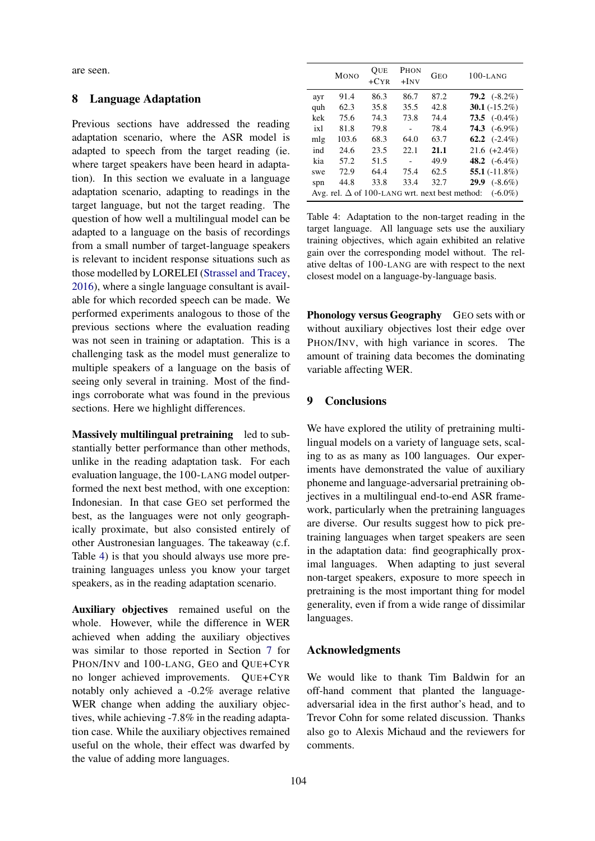are seen.

### <span id="page-8-0"></span>8 Language Adaptation

Previous sections have addressed the reading adaptation scenario, where the ASR model is adapted to speech from the target reading (ie. where target speakers have been heard in adaptation). In this section we evaluate in a language adaptation scenario, adapting to readings in the target language, but not the target reading. The question of how well a multilingual model can be adapted to a language on the basis of recordings from a small number of target-language speakers is relevant to incident response situations such as those modelled by LORELEI [\(Strassel and Tracey,](#page-10-4) [2016\)](#page-10-4), where a single language consultant is available for which recorded speech can be made. We performed experiments analogous to those of the previous sections where the evaluation reading was not seen in training or adaptation. This is a challenging task as the model must generalize to multiple speakers of a language on the basis of seeing only several in training. Most of the findings corroborate what was found in the previous sections. Here we highlight differences.

Massively multilingual pretraining led to substantially better performance than other methods, unlike in the reading adaptation task. For each evaluation language, the 100-LANG model outperformed the next best method, with one exception: Indonesian. In that case GEO set performed the best, as the languages were not only geographically proximate, but also consisted entirely of other Austronesian languages. The takeaway (c.f. Table [4\)](#page-8-1) is that you should always use more pretraining languages unless you know your target speakers, as in the reading adaptation scenario.

Auxiliary objectives remained useful on the whole. However, while the difference in WER achieved when adding the auxiliary objectives was similar to those reported in Section [7](#page-5-0) for PHON/INV and 100-LANG, GEO and QUE+CYR no longer achieved improvements. QUE+CYR notably only achieved a -0.2% average relative WER change when adding the auxiliary objectives, while achieving -7.8% in the reading adaptation case. While the auxiliary objectives remained useful on the whole, their effect was dwarfed by the value of adding more languages.

<span id="page-8-1"></span>

|                                                                     | <b>MONO</b> | OUE<br>$+CYR$ | <b>PHON</b><br>$+$ INV | <b>GEO</b> | $100 - LAMG$           |  |
|---------------------------------------------------------------------|-------------|---------------|------------------------|------------|------------------------|--|
| ayr                                                                 | 91.4        | 86.3          | 86.7                   | 87.2       | <b>79.2</b> $(-8.2\%)$ |  |
| quh                                                                 | 62.3        | 35.8          | 35.5                   | 42.8       | 30.1 $(-15.2\%)$       |  |
| kek                                                                 | 75.6        | 74.3          | 73.8                   | 74.4       | 73.5 $(-0.4\%)$        |  |
| ix1                                                                 | 81.8        | 79.8          |                        | 78.4       | <b>74.3</b> $(-6.9\%)$ |  |
| mlg                                                                 | 103.6       | 68.3          | 64.0                   | 63.7       | 62.2 $(-2.4\%)$        |  |
| ind                                                                 | 24.6        | 23.5          | 22.1                   | 21.1       | $21.6 (+2.4\%)$        |  |
| kia                                                                 | 57.2        | 51.5          |                        | 49.9       | 48.2 $(-6.4\%)$        |  |
| swe                                                                 | 72.9        | 64.4          | 75.4                   | 62.5       | 55.1 $(-11.8\%)$       |  |
| spn                                                                 | 44.8        | 33.8          | 33.4                   | 32.7       | <b>29.9</b> $(-8.6\%)$ |  |
| Avg. rel. $\Delta$ of 100-LANG wrt. next best method:<br>$(-6.0\%)$ |             |               |                        |            |                        |  |

Table 4: Adaptation to the non-target reading in the target language. All language sets use the auxiliary training objectives, which again exhibited an relative gain over the corresponding model without. The relative deltas of 100-LANG are with respect to the next closest model on a language-by-language basis.

Phonology versus Geography GEO sets with or without auxiliary objectives lost their edge over PHON/INV, with high variance in scores. The amount of training data becomes the dominating variable affecting WER.

## 9 Conclusions

We have explored the utility of pretraining multilingual models on a variety of language sets, scaling to as as many as 100 languages. Our experiments have demonstrated the value of auxiliary phoneme and language-adversarial pretraining objectives in a multilingual end-to-end ASR framework, particularly when the pretraining languages are diverse. Our results suggest how to pick pretraining languages when target speakers are seen in the adaptation data: find geographically proximal languages. When adapting to just several non-target speakers, exposure to more speech in pretraining is the most important thing for model generality, even if from a wide range of dissimilar languages.

#### Acknowledgments

We would like to thank Tim Baldwin for an off-hand comment that planted the languageadversarial idea in the first author's head, and to Trevor Cohn for some related discussion. Thanks also go to Alexis Michaud and the reviewers for comments.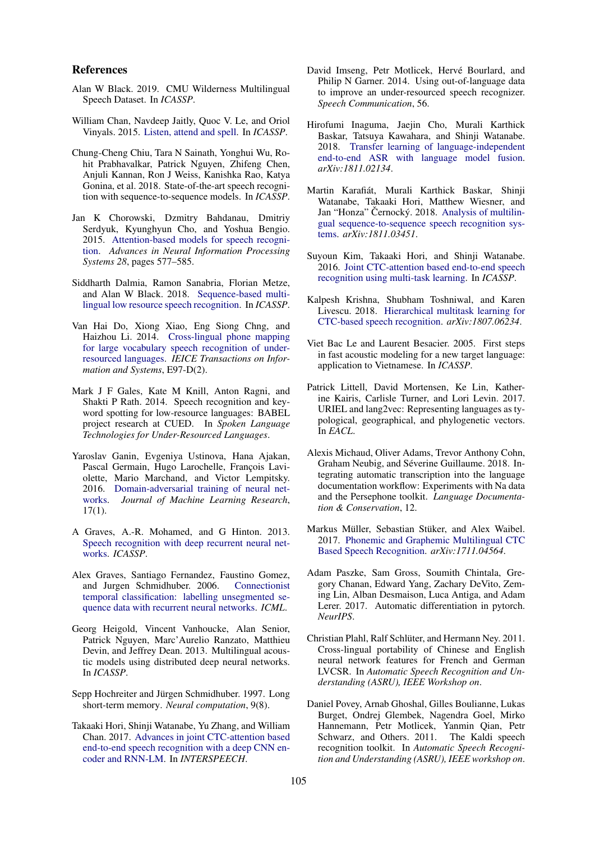#### References

- <span id="page-9-1"></span>Alan W Black. 2019. CMU Wilderness Multilingual Speech Dataset. In *ICASSP*.
- <span id="page-9-12"></span>William Chan, Navdeep Jaitly, Quoc V. Le, and Oriol Vinyals. 2015. [Listen, attend and spell.](http://arxiv.org/abs/1508.01211) In *ICASSP*.
- <span id="page-9-17"></span>Chung-Cheng Chiu, Tara N Sainath, Yonghui Wu, Rohit Prabhavalkar, Patrick Nguyen, Zhifeng Chen, Anjuli Kannan, Ron J Weiss, Kanishka Rao, Katya Gonina, et al. 2018. State-of-the-art speech recognition with sequence-to-sequence models. In *ICASSP*.
- <span id="page-9-11"></span>Jan K Chorowski, Dzmitry Bahdanau, Dmitriy Serdyuk, Kyunghyun Cho, and Yoshua Bengio. 2015. [Attention-based models for speech recogni](http://papers.nips.cc/paper/5847-attention-based-models-for-speech-recognition.pdf)[tion.](http://papers.nips.cc/paper/5847-attention-based-models-for-speech-recognition.pdf) *Advances in Neural Information Processing Systems 28*, pages 577–585.
- <span id="page-9-19"></span>Siddharth Dalmia, Ramon Sanabria, Florian Metze, and Alan W Black. 2018. [Sequence-based multi](https://arxiv.org/pdf/1802.07420.pdf)[lingual low resource speech recognition.](https://arxiv.org/pdf/1802.07420.pdf) In *ICASSP*.
- <span id="page-9-9"></span>Van Hai Do, Xiong Xiao, Eng Siong Chng, and Haizhou Li. 2014. [Cross-lingual phone mapping](https://doi.org/10.1587/transinf.E97.D.285) [for large vocabulary speech recognition of under](https://doi.org/10.1587/transinf.E97.D.285)[resourced languages.](https://doi.org/10.1587/transinf.E97.D.285) *IEICE Transactions on Information and Systems*, E97-D(2).
- <span id="page-9-0"></span>Mark J F Gales, Kate M Knill, Anton Ragni, and Shakti P Rath. 2014. Speech recognition and keyword spotting for low-resource languages: BABEL project research at CUED. In *Spoken Language Technologies for Under-Resourced Languages*.
- <span id="page-9-3"></span>Yaroslav Ganin, Evgeniya Ustinova, Hana Ajakan, Pascal Germain, Hugo Larochelle, François Laviolette, Mario Marchand, and Victor Lempitsky. 2016. [Domain-adversarial training of neural net](http://arxiv.org/abs/1505.07818)[works.](http://arxiv.org/abs/1505.07818) *Journal of Machine Learning Research*, 17(1).
- <span id="page-9-14"></span>A Graves, A.-R. Mohamed, and G Hinton. 2013. [Speech recognition with deep recurrent neural net](https://doi.org/10.1109/ICASSP.2013.6638947)[works.](https://doi.org/10.1109/ICASSP.2013.6638947) *ICASSP*.
- <span id="page-9-13"></span>Alex Graves, Santiago Fernandez, Faustino Gomez, and Jurgen Schmidhuber. 2006. [Connectionist](https://doi.org/10.1145/1143844.1143891) [temporal classification: labelling unsegmented se](https://doi.org/10.1145/1143844.1143891)[quence data with recurrent neural networks.](https://doi.org/10.1145/1143844.1143891) *ICML*.
- <span id="page-9-10"></span>Georg Heigold, Vincent Vanhoucke, Alan Senior, Patrick Nguyen, Marc'Aurelio Ranzato, Matthieu Devin, and Jeffrey Dean. 2013. Multilingual acoustic models using distributed deep neural networks. In *ICASSP*.
- <span id="page-9-22"></span>Sepp Hochreiter and Jürgen Schmidhuber. 1997. Long short-term memory. *Neural computation*, 9(8).
- <span id="page-9-16"></span>Takaaki Hori, Shinji Watanabe, Yu Zhang, and William Chan. 2017. [Advances in joint CTC-attention based](http://arxiv.org/abs/1706.02737) [end-to-end speech recognition with a deep CNN en](http://arxiv.org/abs/1706.02737)[coder and RNN-LM.](http://arxiv.org/abs/1706.02737) In *INTERSPEECH*.
- <span id="page-9-8"></span>David Imseng, Petr Motlicek, Hervé Bourlard, and Philip N Garner. 2014. Using out-of-language data to improve an under-resourced speech recognizer. *Speech Communication*, 56.
- <span id="page-9-20"></span>Hirofumi Inaguma, Jaejin Cho, Murali Karthick Baskar, Tatsuya Kawahara, and Shinji Watanabe. 2018. [Transfer learning of language-independent](http://arxiv.org/abs/1811.02134) [end-to-end ASR with language model fusion.](http://arxiv.org/abs/1811.02134) *arXiv:1811.02134*.
- <span id="page-9-5"></span>Martin Karafiat, Murali Karthick Baskar, Shinji ´ Watanabe, Takaaki Hori, Matthew Wiesner, and Jan "Honza" Černocký. 2018. [Analysis of multilin](http://arxiv.org/abs/1811.03451)[gual sequence-to-sequence speech recognition sys](http://arxiv.org/abs/1811.03451)[tems.](http://arxiv.org/abs/1811.03451) *arXiv:1811.03451*.
- <span id="page-9-15"></span>Suyoun Kim, Takaaki Hori, and Shinji Watanabe. 2016. [Joint CTC-attention based end-to-end speech](http://arxiv.org/abs/1609.06773) [recognition using multi-task learning.](http://arxiv.org/abs/1609.06773) In *ICASSP*.
- <span id="page-9-4"></span>Kalpesh Krishna, Shubham Toshniwal, and Karen Livescu. 2018. [Hierarchical multitask learning for](http://arxiv.org/abs/1807.06234) [CTC-based speech recognition.](http://arxiv.org/abs/1807.06234) *arXiv:1807.06234*.
- <span id="page-9-6"></span>Viet Bac Le and Laurent Besacier. 2005. First steps in fast acoustic modeling for a new target language: application to Vietnamese. In *ICASSP*.
- <span id="page-9-24"></span>Patrick Littell, David Mortensen, Ke Lin, Katherine Kairis, Carlisle Turner, and Lori Levin. 2017. URIEL and lang2vec: Representing languages as typological, geographical, and phylogenetic vectors. In *EACL*.
- <span id="page-9-2"></span>Alexis Michaud, Oliver Adams, Trevor Anthony Cohn, Graham Neubig, and Séverine Guillaume. 2018. Integrating automatic transcription into the language documentation workflow: Experiments with Na data and the Persephone toolkit. *Language Documentation & Conservation*, 12.
- <span id="page-9-18"></span>Markus Müller, Sebastian Stüker, and Alex Waibel. 2017. [Phonemic and Graphemic Multilingual CTC](http://arxiv.org/abs/1711.04564) [Based Speech Recognition.](http://arxiv.org/abs/1711.04564) *arXiv:1711.04564*.
- <span id="page-9-21"></span>Adam Paszke, Sam Gross, Soumith Chintala, Gregory Chanan, Edward Yang, Zachary DeVito, Zeming Lin, Alban Desmaison, Luca Antiga, and Adam Lerer. 2017. Automatic differentiation in pytorch. *NeurIPS*.
- <span id="page-9-7"></span>Christian Plahl, Ralf Schlüter, and Hermann Ney. 2011. Cross-lingual portability of Chinese and English neural network features for French and German LVCSR. In *Automatic Speech Recognition and Understanding (ASRU), IEEE Workshop on*.
- <span id="page-9-23"></span>Daniel Povey, Arnab Ghoshal, Gilles Boulianne, Lukas Burget, Ondrej Glembek, Nagendra Goel, Mirko Hannemann, Petr Motlicek, Yanmin Qian, Petr Schwarz, and Others. 2011. The Kaldi speech recognition toolkit. In *Automatic Speech Recognition and Understanding (ASRU), IEEE workshop on*.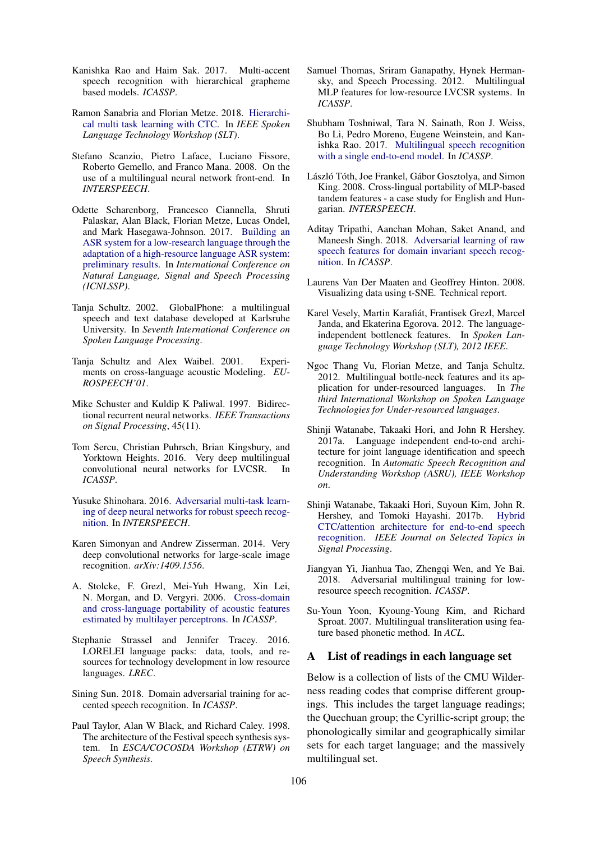- <span id="page-10-5"></span>Kanishka Rao and Haim Sak. 2017. Multi-accent speech recognition with hierarchical grapheme based models. *ICASSP*.
- <span id="page-10-14"></span>Ramon Sanabria and Florian Metze. 2018. [Hierarchi](http://arxiv.org/abs/1807.07104)[cal multi task learning with CTC.](http://arxiv.org/abs/1807.07104) In *IEEE Spoken Language Technology Workshop (SLT)*.
- <span id="page-10-1"></span>Stefano Scanzio, Pietro Laface, Luciano Fissore, Roberto Gemello, and Franco Mana. 2008. On the use of a multilingual neural network front-end. In *INTERSPEECH*.
- <span id="page-10-11"></span>Odette Scharenborg, Francesco Ciannella, Shruti Palaskar, Alan Black, Florian Metze, Lucas Ondel, and Mark Hasegawa-Johnson. 2017. [Building an](http://www.isle.illinois.edu/sst/pubs/2017/scharenborg17icnlssp.pdf) [ASR system for a low-research language through the](http://www.isle.illinois.edu/sst/pubs/2017/scharenborg17icnlssp.pdf) [adaptation of a high-resource language ASR system:](http://www.isle.illinois.edu/sst/pubs/2017/scharenborg17icnlssp.pdf) [preliminary results.](http://www.isle.illinois.edu/sst/pubs/2017/scharenborg17icnlssp.pdf) In *International Conference on Natural Language, Signal and Speech Processing (ICNLSSP)*.
- <span id="page-10-3"></span>Tanja Schultz. 2002. GlobalPhone: a multilingual speech and text database developed at Karlsruhe University. In *Seventh International Conference on Spoken Language Processing*.
- <span id="page-10-7"></span>Tanja Schultz and Alex Waibel. 2001. Experiments on cross-language acoustic Modeling. *EU-ROSPEECH'01*.
- <span id="page-10-23"></span>Mike Schuster and Kuldip K Paliwal. 1997. Bidirectional recurrent neural networks. *IEEE Transactions on Signal Processing*, 45(11).
- <span id="page-10-22"></span>Tom Sercu, Christian Puhrsch, Brian Kingsbury, and Yorktown Heights. 2016. Very deep multilingual convolutional neural networks for LVCSR. In *ICASSP*.
- <span id="page-10-15"></span>Yusuke Shinohara. 2016. [Adversarial multi-task learn](https://doi.org/10.21437/Interspeech.2016-879)[ing of deep neural networks for robust speech recog](https://doi.org/10.21437/Interspeech.2016-879)[nition.](https://doi.org/10.21437/Interspeech.2016-879) In *INTERSPEECH*.
- <span id="page-10-21"></span>Karen Simonyan and Andrew Zisserman. 2014. Very deep convolutional networks for large-scale image recognition. *arXiv:1409.1556*.
- <span id="page-10-8"></span>A. Stolcke, F. Grezl, Mei-Yuh Hwang, Xin Lei, N. Morgan, and D. Vergyri. 2006. [Cross-domain](https://doi.org/10.1109/ICASSP.2006.1660022) [and cross-language portability of acoustic features](https://doi.org/10.1109/ICASSP.2006.1660022) [estimated by multilayer perceptrons.](https://doi.org/10.1109/ICASSP.2006.1660022) In *ICASSP*.
- <span id="page-10-4"></span>Stephanie Strassel and Jennifer Tracey. 2016. LORELEI language packs: data, tools, and resources for technology development in low resource languages. *LREC*.
- <span id="page-10-16"></span>Sining Sun. 2018. Domain adversarial training for accented speech recognition. In *ICASSP*.
- <span id="page-10-18"></span>Paul Taylor, Alan W Black, and Richard Caley. 1998. The architecture of the Festival speech synthesis system. In *ESCA/COCOSDA Workshop (ETRW) on Speech Synthesis*.
- <span id="page-10-10"></span>Samuel Thomas, Sriram Ganapathy, Hynek Hermansky, and Speech Processing. 2012. Multilingual MLP features for low-resource LVCSR systems. In *ICASSP*.
- <span id="page-10-12"></span>Shubham Toshniwal, Tara N. Sainath, Ron J. Weiss, Bo Li, Pedro Moreno, Eugene Weinstein, and Kanishka Rao. 2017. [Multilingual speech recognition](http://arxiv.org/abs/1711.01694) [with a single end-to-end model.](http://arxiv.org/abs/1711.01694) In *ICASSP*.
- <span id="page-10-9"></span>László Tóth, Joe Frankel, Gábor Gosztolya, and Simon King. 2008. Cross-lingual portability of MLP-based tandem features - a case study for English and Hungarian. *INTERSPEECH*.
- <span id="page-10-17"></span>Aditay Tripathi, Aanchan Mohan, Saket Anand, and Maneesh Singh. 2018. [Adversarial learning of raw](http://arxiv.org/abs/1805.08615) [speech features for domain invariant speech recog](http://arxiv.org/abs/1805.08615)[nition.](http://arxiv.org/abs/1805.08615) In *ICASSP*.
- <span id="page-10-24"></span>Laurens Van Der Maaten and Geoffrey Hinton. 2008. Visualizing data using t-SNE. Technical report.
- <span id="page-10-0"></span>Karel Vesely, Martin Karafiat, Frantisek Grezl, Marcel ´ Janda, and Ekaterina Egorova. 2012. The languageindependent bottleneck features. In *Spoken Language Technology Workshop (SLT), 2012 IEEE*.
- <span id="page-10-2"></span>Ngoc Thang Vu, Florian Metze, and Tanja Schultz. 2012. Multilingual bottle-neck features and its application for under-resourced languages. In *The third International Workshop on Spoken Language Technologies for Under-resourced languages*.
- <span id="page-10-13"></span>Shinji Watanabe, Takaaki Hori, and John R Hershey. 2017a. Language independent end-to-end architecture for joint language identification and speech recognition. In *Automatic Speech Recognition and Understanding Workshop (ASRU), IEEE Workshop on*.
- <span id="page-10-20"></span>Shinji Watanabe, Takaaki Hori, Suyoun Kim, John R. Hershey, and Tomoki Hayashi. 2017b. [Hybrid](https://doi.org/10.1109/JSTSP.2017.2763455) [CTC/attention architecture for end-to-end speech](https://doi.org/10.1109/JSTSP.2017.2763455) [recognition.](https://doi.org/10.1109/JSTSP.2017.2763455) *IEEE Journal on Selected Topics in Signal Processing*.
- <span id="page-10-6"></span>Jiangyan Yi, Jianhua Tao, Zhengqi Wen, and Ye Bai. 2018. Adversarial multilingual training for lowresource speech recognition. *ICASSP*.
- <span id="page-10-19"></span>Su-Youn Yoon, Kyoung-Young Kim, and Richard Sproat. 2007. Multilingual transliteration using feature based phonetic method. In *ACL*.

### <span id="page-10-25"></span>A List of readings in each language set

Below is a collection of lists of the CMU Wilderness reading codes that comprise different groupings. This includes the target language readings; the Quechuan group; the Cyrillic-script group; the phonologically similar and geographically similar sets for each target language; and the massively multilingual set.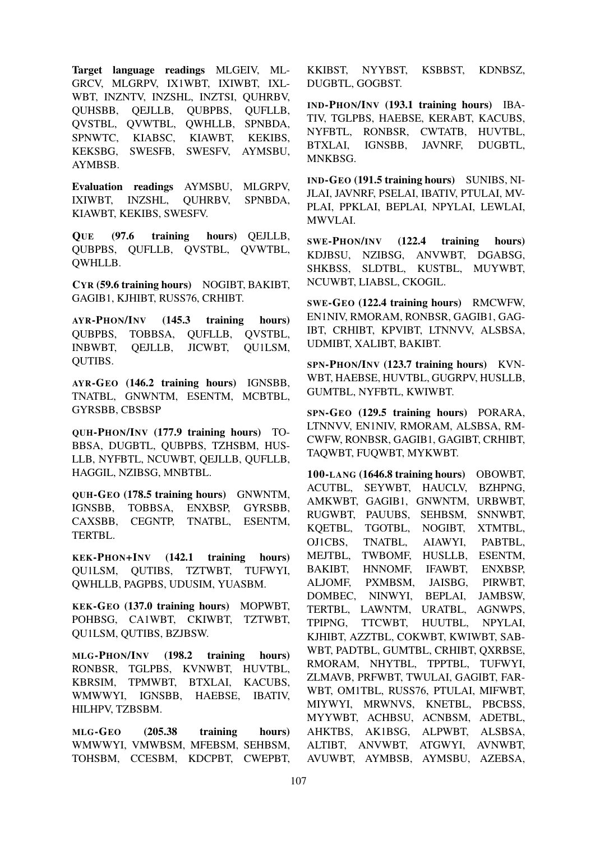Target language readings MLGEIV, ML-GRCV, MLGRPV, IX1WBT, IXIWBT, IXL-WBT, INZNTV, INZSHL, INZTSI, QUHRBV, QUHSBB, QEJLLB, QUBPBS, QUFLLB, QVSTBL, QVWTBL, QWHLLB, SPNBDA, SPNWTC, KIABSC, KIAWBT, KEKIBS, KEKSBG, SWESFB, SWESFV, AYMSBU, AYMBSB.

Evaluation readings AYMSBU, MLGRPV, IXIWBT, INZSHL, QUHRBV, SPNBDA, KIAWBT, KEKIBS, SWESFV.

QUE (97.6 training hours) QEJLLB, QUBPBS, QUFLLB, QVSTBL, QVWTBL, QWHLLB.

CYR (59.6 training hours) NOGIBT, BAKIBT, GAGIB1, KJHIBT, RUSS76, CRHIBT.

AYR-PHON/INV (145.3 training hours) QUBPBS, TOBBSA, QUFLLB, QVSTBL, INBWBT, QEJLLB, JICWBT, QU1LSM, QUTIBS.

AYR-GEO (146.2 training hours) IGNSBB, TNATBL, GNWNTM, ESENTM, MCBTBL, GYRSBB, CBSBSP

QUH-PHON/INV (177.9 training hours) TO-BBSA, DUGBTL, QUBPBS, TZHSBM, HUS-LLB, NYFBTL, NCUWBT, QEJLLB, QUFLLB, HAGGIL, NZIBSG, MNBTBL.

QUH-GEO (178.5 training hours) GNWNTM, IGNSBB, TOBBSA, ENXBSP, GYRSBB, CAXSBB, CEGNTP, TNATBL, ESENTM, TERTBL.

KEK-PHON+INV (142.1 training hours) QU1LSM, QUTIBS, TZTWBT, TUFWYI, QWHLLB, PAGPBS, UDUSIM, YUASBM.

KEK-GEO (137.0 training hours) MOPWBT, POHBSG, CA1WBT, CKIWBT, TZTWBT, QU1LSM, QUTIBS, BZJBSW.

MLG-PHON/INV (198.2 training hours) RONBSR, TGLPBS, KVNWBT, HUVTBL, KBRSIM, TPMWBT, BTXLAI, KACUBS, WMWWYI, IGNSBB, HAEBSE, IBATIV, HILHPV, TZBSBM.

MLG-GEO (205.38 training hours) WMWWYI, VMWBSM, MFEBSM, SEHBSM, TOHSBM, CCESBM, KDCPBT, CWEPBT,

KKIBST, NYYBST, KSBBST, KDNBSZ, DUGBTL, GOGBST.

IND-PHON/INV (193.1 training hours) IBA-TIV, TGLPBS, HAEBSE, KERABT, KACUBS, NYFBTL, RONBSR, CWTATB, HUVTBL, BTXLAI, IGNSBB, JAVNRF, DUGBTL, MNKBSG.

IND-GEO (191.5 training hours) SUNIBS, NI-JLAI, JAVNRF, PSELAI, IBATIV, PTULAI, MV-PLAI, PPKLAI, BEPLAI, NPYLAI, LEWLAI, MWVLAI.

SWE-PHON/INV (122.4 training hours) KDJBSU, NZIBSG, ANVWBT, DGABSG, SHKBSS, SLDTBL, KUSTBL, MUYWBT, NCUWBT, LIABSL, CKOGIL.

SWE-GEO (122.4 training hours) RMCWFW, EN1NIV, RMORAM, RONBSR, GAGIB1, GAG-IBT, CRHIBT, KPVIBT, LTNNVV, ALSBSA, UDMIBT, XALIBT, BAKIBT.

SPN-PHON/INV (123.7 training hours) KVN-WBT, HAEBSE, HUVTBL, GUGRPV, HUSLLB, GUMTBL, NYFBTL, KWIWBT.

SPN-GEO (129.5 training hours) PORARA, LTNNVV, EN1NIV, RMORAM, ALSBSA, RM-CWFW, RONBSR, GAGIB1, GAGIBT, CRHIBT, TAQWBT, FUQWBT, MYKWBT.

100-LANG (1646.8 training hours) OBOWBT, ACUTBL, SEYWBT, HAUCLV, BZHPNG, AMKWBT, GAGIB1, GNWNTM, URBWBT, RUGWBT, PAUUBS, SEHBSM, SNNWBT, KQETBL, TGOTBL, NOGIBT, XTMTBL, OJ1CBS, TNATBL, AIAWYI, PABTBL, MEJTBL, TWBOMF, HUSLLB, ESENTM, BAKIBT, HNNOMF, IFAWBT, ENXBSP, ALJOMF, PXMBSM, JAISBG, PIRWBT, DOMBEC, NINWYI, BEPLAI, JAMBSW, TERTBL, LAWNTM, URATBL, AGNWPS, TPIPNG, TTCWBT, HUUTBL, NPYLAI, KJHIBT, AZZTBL, COKWBT, KWIWBT, SAB-WBT, PADTBL, GUMTBL, CRHIBT, QXRBSE, RMORAM, NHYTBL, TPPTBL, TUFWYI, ZLMAVB, PRFWBT, TWULAI, GAGIBT, FAR-WBT, OM1TBL, RUSS76, PTULAI, MIFWBT, MIYWYI, MRWNVS, KNETBL, PBCBSS, MYYWBT, ACHBSU, ACNBSM, ADETBL, AHKTBS, AK1BSG, ALPWBT, ALSBSA, ALTIBT, ANVWBT, ATGWYI, AVNWBT, AVUWBT, AYMBSB, AYMSBU, AZEBSA,